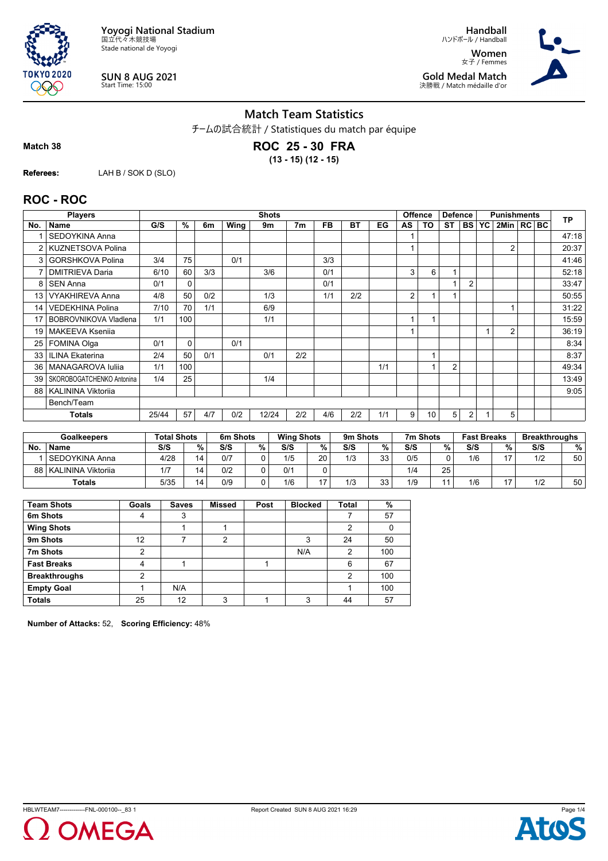

**SUN 8 AUG 2021** Start Time: 15:00

**Handball** ハンドボール / Handball **Women** 女子 / Femmes **Gold Medal Match** 決勝戦 / Match médaille d'or



#### **Match Team Statistics**

チームの試合統計 / Statistiques du match par équipe

**Match 38**

**TOKYO 2020** QQO

> **ROC 25 - 30 FRA (13 - 15) (12 - 15)**

**Referees:** LAH B / SOK D (SLO)

## **ROC - ROC**

|     | <b>Players</b>            |       | <b>Shots</b> |     |      |       |                |           |     |     |                | <b>Offence</b>          | <b>Defence</b> |                |    | <b>Punishments</b> |  |           |
|-----|---------------------------|-------|--------------|-----|------|-------|----------------|-----------|-----|-----|----------------|-------------------------|----------------|----------------|----|--------------------|--|-----------|
| No. | Name                      | G/S   | %            | 6m  | Wing | 9m    | 7 <sub>m</sub> | <b>FB</b> | BT  | EG  | AS             | TO                      | <b>ST</b>      | <b>BS</b>      | YC | 2Min   RC BC       |  | <b>TP</b> |
|     | <b>SEDOYKINA Anna</b>     |       |              |     |      |       |                |           |     |     |                |                         |                |                |    |                    |  | 47:18     |
| 2   | <b>KUZNETSOVA Polina</b>  |       |              |     |      |       |                |           |     |     |                |                         |                |                |    | 2                  |  | 20:37     |
| 3   | GORSHKOVA Polina          | 3/4   | 75           |     | 0/1  |       |                | 3/3       |     |     |                |                         |                |                |    |                    |  | 41:46     |
| 7   | <b>DMITRIEVA Daria</b>    | 6/10  | 60           | 3/3 |      | 3/6   |                | 0/1       |     |     | 3              | 6                       | 1              |                |    |                    |  | 52:18     |
| 8   | <b>SEN Anna</b>           | 0/1   | $\Omega$     |     |      |       |                | 0/1       |     |     |                |                         |                | 2              |    |                    |  | 33:47     |
| 13  | <b>VYAKHIREVA Anna</b>    | 4/8   | 50           | 0/2 |      | 1/3   |                | 1/1       | 2/2 |     | $\overline{2}$ |                         |                |                |    |                    |  | 50:55     |
| 14  | VEDEKHINA Polina          | 7/10  | 70           | 1/1 |      | 6/9   |                |           |     |     |                |                         |                |                |    |                    |  | 31:22     |
|     | BOBROVNIKOVA Vladlena     | 1/1   | 100          |     |      | 1/1   |                |           |     |     |                |                         |                |                |    |                    |  | 15:59     |
| 19  | <b>MAKEEVA Ksenija</b>    |       |              |     |      |       |                |           |     |     |                |                         |                |                |    | 2                  |  | 36:19     |
| 25  | <b>FOMINA Olga</b>        | 0/1   | 0            |     | 0/1  |       |                |           |     |     |                |                         |                |                |    |                    |  | 8:34      |
| 33  | <b>ILINA Ekaterina</b>    | 2/4   | 50           | 0/1 |      | 0/1   | 2/2            |           |     |     |                | и                       |                |                |    |                    |  | 8:37      |
| 36  | MANAGAROVA Iuliia         | 1/1   | 100          |     |      |       |                |           |     | 1/1 |                | $\overline{\mathbf{A}}$ | $\overline{2}$ |                |    |                    |  | 49:34     |
| 39  | SKOROBOGATCHENKO Antonina | 1/4   | 25           |     |      | 1/4   |                |           |     |     |                |                         |                |                |    |                    |  | 13:49     |
| 88  | <b>KALININA Viktoriia</b> |       |              |     |      |       |                |           |     |     |                |                         |                |                |    |                    |  | 9:05      |
|     | Bench/Team                |       |              |     |      |       |                |           |     |     |                |                         |                |                |    |                    |  |           |
|     | Totals                    | 25/44 | 57           | 4/7 | 0/2  | 12/24 | 2/2            | 4/6       | 2/2 | 1/1 | 9              | 10                      | 5              | $\overline{2}$ |    | 5                  |  |           |

|           | <b>Goalkeepers</b>   | <b>Total Shots</b> |    | 6m Shots |   | <b>Wing Shots</b> |     | 9m Shots |    | 7m Shots |    | <b>Fast Breaks</b> |    | <b>Breakthroughs</b> |    |
|-----------|----------------------|--------------------|----|----------|---|-------------------|-----|----------|----|----------|----|--------------------|----|----------------------|----|
| <b>No</b> | <b>Name</b>          | S/S                | %. | S/S      | % | S/S               | %   | S/S      | %  | S/S      | %  | S/S                | %  | S/S                  | %  |
|           | l SEDOYKINA Anna     | 4/28               | 14 | 0/7      |   | 1/5               | 20  | 1/3      | 33 | 0/5      |    | 1/6                | 47 | 1/2                  | 50 |
| 88 I      | l KALININA Viktorija | 17                 | 14 | 0/2      |   | 0/1               |     |          |    | 1/4      | 25 |                    |    |                      |    |
|           | <b>Totals</b>        | 5/35               | 14 | 0/9      |   | 1/6               | . – | 1/3      | 33 | 1/9      | 11 | 1/6                |    | 1/2                  | 50 |

| <b>Team Shots</b>    | Goals | <b>Saves</b> | <b>Missed</b>  | Post | <b>Blocked</b> | <b>Total</b>   | %   |
|----------------------|-------|--------------|----------------|------|----------------|----------------|-----|
| 6m Shots             | 4     | 3            |                |      |                |                | 57  |
| <b>Wing Shots</b>    |       |              |                |      |                | 2              |     |
| 9m Shots             | 12    |              | $\overline{2}$ |      | 3              | 24             | 50  |
| 7m Shots             | 2     |              |                |      | N/A            | $\overline{2}$ | 100 |
| <b>Fast Breaks</b>   | 4     |              |                |      |                | 6              | 67  |
| <b>Breakthroughs</b> | າ     |              |                |      |                | $\mathfrak{p}$ | 100 |
| <b>Empty Goal</b>    |       | N/A          |                |      |                |                | 100 |
| <b>Totals</b>        | 25    | 12           | 3              |      | 3              | 44             | 57  |

**Number of Attacks:** 52, **Scoring Efficiency:** 48%



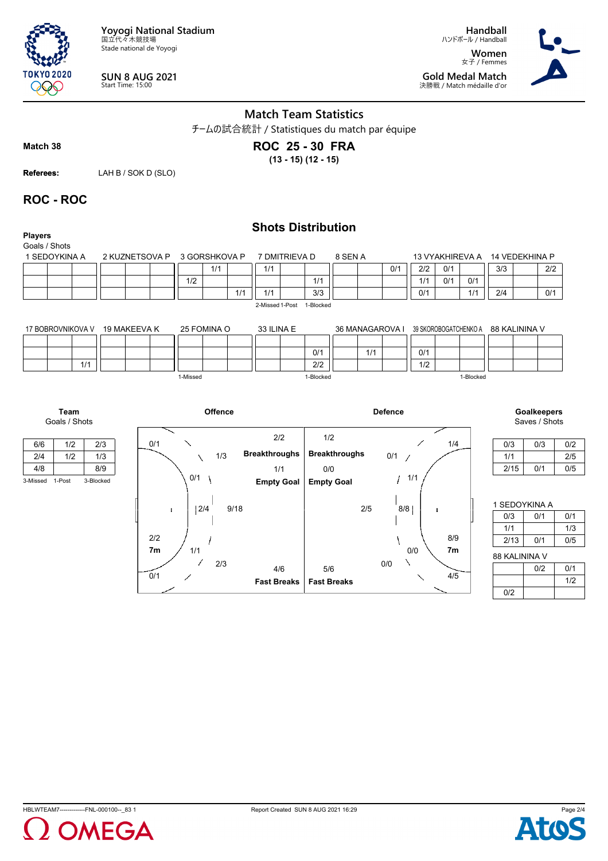**Yoyogi National Stadium** 国立代々木競技場 Stade national de Yoyogi

 $0/1$ 

2/3

1/1

1

**SUN 8 AUG 2021** Start Time: 15:00

**Handball** ハンドボール / Handball **Women** 女子 / Femmes **Gold Medal Match** 決勝戦 / Match médaille d'or



## **Match Team Statistics**

チームの試合統計 / Statistiques du match par équipe

**Match 38**

**TOKYO 2020** 999

# **ROC 25 - 30 FRA**

**(13 - 15) (12 - 15)**

**Referees:** LAH B / SOK D (SLO)

## **ROC - ROC**

| <b>Players</b><br>Goals / Shots |              |                |          |               |      |                      | <b>Shots Distribution</b> |           |                      |     |                 |                       |                 |           |                |                              |     |
|---------------------------------|--------------|----------------|----------|---------------|------|----------------------|---------------------------|-----------|----------------------|-----|-----------------|-----------------------|-----------------|-----------|----------------|------------------------------|-----|
| 1 SEDOYKINA A                   |              | 2 KUZNETSOVA P |          | 3 GORSHKOVA P |      |                      | 7 DMITRIEVA D             |           | 8 SEN A              |     |                 |                       | 13 VYAKHIREVA A |           | 14 VEDEKHINA P |                              |     |
|                                 |              |                |          | 1/1           |      | 1/1                  |                           |           |                      |     | 0/1             | 2/2                   | 0/1             |           | 3/3            | 2/2                          |     |
|                                 |              |                | 1/2      |               |      |                      |                           | 1/1       |                      |     |                 | 1/1                   | 0/1             | 0/1       |                |                              |     |
|                                 |              |                |          |               | 1/1  | 1/1                  |                           | 3/3       |                      |     |                 | 0/1                   |                 | 1/1       | 2/4            | 0/1                          |     |
|                                 |              |                |          |               |      | 2-Missed 1-Post      |                           | 1-Blocked |                      |     |                 |                       |                 |           |                |                              |     |
| 17 BOBROVNIKOVA V               | 19 MAKEEVA K |                |          | 25 FOMINA O   |      | 33 ILINA E           |                           |           |                      |     | 36 MANAGAROVA I | 39 SKOROBOGATCHENKO A |                 |           | 88 KALININA V  |                              |     |
|                                 |              |                |          |               |      |                      |                           | 0/1       |                      | 1/1 |                 | 0/1                   |                 |           |                |                              |     |
| 1/1                             |              |                |          |               |      |                      |                           | 2/2       |                      |     |                 | 1/2                   |                 |           |                |                              |     |
|                                 |              |                | 1-Missed |               |      |                      |                           | 1-Blocked |                      |     |                 |                       |                 | 1-Blocked |                |                              |     |
| Team<br>Goals / Shots           |              |                |          | Offence       |      |                      |                           |           |                      |     | <b>Defence</b>  |                       |                 |           |                | Goalkeepers<br>Saves / Shots |     |
| 1/2<br>6/6                      | 2/3          | 0/1            |          |               |      | 2/2                  |                           | 1/2       |                      |     |                 |                       | 1/4             |           | 0/3            | 0/3                          | 0/2 |
| 2/4<br>1/2                      | 1/3          |                |          | 1/3           |      | <b>Breakthroughs</b> |                           |           | <b>Breakthroughs</b> |     | 0/1<br>-1       |                       |                 |           | 1/1            |                              | 2/5 |
| 4/8                             | 8/9          |                |          |               |      | 1/1                  |                           | 0/0       |                      |     |                 |                       |                 |           | 2/15           | 0/1                          | 0/5 |
| 3-Missed 1-Post                 | 3-Blocked    |                | 0/1      |               |      | <b>Empty Goal</b>    |                           |           | <b>Empty Goal</b>    |     |                 | 1/1                   |                 |           |                |                              |     |
|                                 |              | ÷              | 2/4      |               | 9/18 |                      |                           |           |                      | 2/5 | 8/8             |                       | ÷               |           | 1 SEDOYKINA A  |                              |     |
|                                 |              |                |          |               |      |                      |                           |           |                      |     |                 |                       |                 |           | 0/3            | 0/1                          | 0/1 |
|                                 |              |                |          |               |      |                      |                           |           |                      |     |                 |                       |                 |           | 1/1            |                              | 1/3 |
|                                 |              | 2/2            |          |               |      |                      |                           |           |                      |     |                 |                       | 8/9             |           | 2/13           | 0/1                          | 0/5 |

88 KALININA V

4/5

0/0

0/0

 $\setminus$  $\overline{\phantom{0}}$ 

|     | 0/2 | 0/1 |
|-----|-----|-----|
|     |     | 1/2 |
| 0/2 |     |     |



**Fast Breaks | Fast Breaks** 

5/6

**7m 7m**

4/6



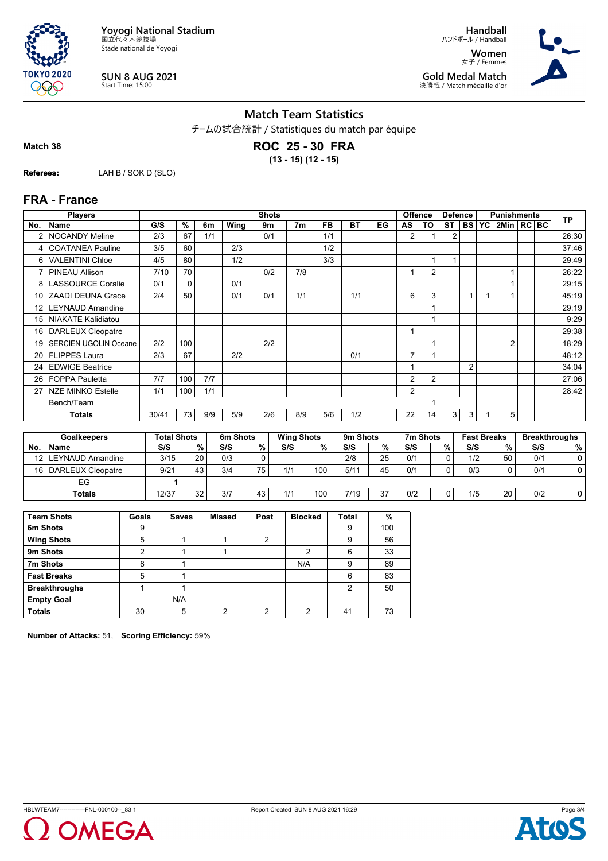

**TOKYO 2020** 

**SUN 8 AUG 2021** Start Time: 15:00

**Handball** ハンドボール / Handball **Women** 女子 / Femmes **Gold Medal Match** 決勝戦 / Match médaille d'or



### **Match Team Statistics**

チームの試合統計 / Statistiques du match par équipe

**Match 38**

QQO

**ROC 25 - 30 FRA (13 - 15) (12 - 15)**

**Referees:** LAH B / SOK D (SLO)

#### **FRA - France**

|                 | <b>Players</b>               |       |             |     |      | <b>Shots</b> |                |           |           |    |                | <b>Offence</b> | <b>Defence</b> |                | <b>Punishments</b> |                  |  |  | <b>TP</b> |
|-----------------|------------------------------|-------|-------------|-----|------|--------------|----------------|-----------|-----------|----|----------------|----------------|----------------|----------------|--------------------|------------------|--|--|-----------|
| No.             | <b>Name</b>                  | G/S   | $\%$        | 6m  | Wing | 9m           | 7 <sub>m</sub> | <b>FB</b> | <b>BT</b> | EG | AS             | TO             | <b>ST</b>      | <b>BS</b>      | <b>YC</b>          | $2$ Min $ RC BC$ |  |  |           |
|                 | <b>NOCANDY Meline</b>        | 2/3   | 67          | 1/1 |      | 0/1          |                | 1/1       |           |    | 2              |                | 2              |                |                    |                  |  |  | 26:30     |
| 4               | <b>COATANEA Pauline</b>      | 3/5   | 60          |     | 2/3  |              |                | 1/2       |           |    |                |                |                |                |                    |                  |  |  | 37:46     |
| 6               | <b>VALENTINI Chloe</b>       | 4/5   | 80          |     | 1/2  |              |                | 3/3       |           |    |                |                |                |                |                    |                  |  |  | 29:49     |
|                 | <b>PINEAU Allison</b>        | 7/10  | 70          |     |      | 0/2          | 7/8            |           |           |    |                | $\overline{2}$ |                |                |                    |                  |  |  | 26:22     |
| 8               | <b>LASSOURCE Coralie</b>     | 0/1   | $\mathbf 0$ |     | 0/1  |              |                |           |           |    |                |                |                |                |                    |                  |  |  | 29:15     |
| 10 <sup>1</sup> | <b>ZAADI DEUNA Grace</b>     | 2/4   | 50          |     | 0/1  | 0/1          | 1/1            |           | 1/1       |    | 6              | 3              |                |                |                    |                  |  |  | 45:19     |
| 12 <sup>2</sup> | <b>LEYNAUD Amandine</b>      |       |             |     |      |              |                |           |           |    |                |                |                |                |                    |                  |  |  | 29:19     |
| 15 <sup>1</sup> | <b>NIAKATE Kalidiatou</b>    |       |             |     |      |              |                |           |           |    |                |                |                |                |                    |                  |  |  | 9:29      |
| 16 <sup>1</sup> | DARLEUX Cleopatre            |       |             |     |      |              |                |           |           |    | $\overline{A}$ |                |                |                |                    |                  |  |  | 29:38     |
| 19              | <b>SERCIEN UGOLIN Oceane</b> | 2/2   | 100         |     |      | 2/2          |                |           |           |    |                |                |                |                |                    | $\overline{2}$   |  |  | 18:29     |
| 20 <sub>1</sub> | <b>FLIPPES Laura</b>         | 2/3   | 67          |     | 2/2  |              |                |           | 0/1       |    | $\overline{7}$ |                |                |                |                    |                  |  |  | 48:12     |
| 24              | <b>EDWIGE Beatrice</b>       |       |             |     |      |              |                |           |           |    |                |                |                | $\overline{2}$ |                    |                  |  |  | 34:04     |
| 26              | <b>FOPPA Pauletta</b>        | 7/7   | 100         | 7/7 |      |              |                |           |           |    | 2              | $\overline{2}$ |                |                |                    |                  |  |  | 27:06     |
| 27 <sub>1</sub> | <b>NZE MINKO Estelle</b>     | 1/1   | 100         | 1/1 |      |              |                |           |           |    | 2              |                |                |                |                    |                  |  |  | 28:42     |
|                 | Bench/Team                   |       |             |     |      |              |                |           |           |    |                |                |                |                |                    |                  |  |  |           |
|                 | <b>Totals</b>                | 30/41 | 73          | 9/9 | 5/9  | 2/6          | 8/9            | 5/6       | 1/2       |    | 22             | 14             | 3              | 3              |                    | 5                |  |  |           |

|      | <b>Goalkeepers</b>     | <b>Total Shots</b> |        | 6m Shots |    | <b>Wing Shots</b> |      | 9m Shots |    | 7m Shots |   | <b>Fast Breaks</b> |    | <b>Breakthroughs</b> |     |
|------|------------------------|--------------------|--------|----------|----|-------------------|------|----------|----|----------|---|--------------------|----|----------------------|-----|
| No   | <b>Name</b>            | S/S                | $\%$ . | S/S      | %  | S/S               | %    | S/S      | %  | S/S      | % | S/S                | %  | S/S                  | % । |
| 121. | LEYNAUD Amandine       | 3/15               | 20     | 0/3      |    |                   |      | 2/8      | 25 | 0/1      |   | 1/2                | 50 | 0/1                  |     |
|      | 16   DARLEUX Cleopatre | 9/21               | 43     | 3/4      | 75 | 1/1               | 100. | 5/11     | 45 | 0/1      |   | 0/3                |    | 0/1                  |     |
|      | EG                     |                    |        |          |    |                   |      |          |    |          |   |                    |    |                      |     |
|      | <b>Totals</b>          | 12/37              | 32     | 3/7      | 43 | 1/1               | 100  | 7/19     | 37 | 0/2      |   | 1/5                | 20 | 0/2                  |     |

| <b>Team Shots</b>    | Goals | <b>Saves</b> | <b>Missed</b> | Post | <b>Blocked</b> | <b>Total</b> | %   |
|----------------------|-------|--------------|---------------|------|----------------|--------------|-----|
| 6m Shots             | 9     |              |               |      |                | 9            | 100 |
| <b>Wing Shots</b>    | 5     |              |               | 2    |                | 9            | 56  |
| 9m Shots             | າ     |              |               |      | ∩              | 6            | 33  |
| 7m Shots             | 8     |              |               |      | N/A            | 9            | 89  |
| <b>Fast Breaks</b>   | 5     |              |               |      |                | 6            | 83  |
| <b>Breakthroughs</b> |       |              |               |      |                | າ            | 50  |
| <b>Empty Goal</b>    |       | N/A          |               |      |                |              |     |
| <b>Totals</b>        | 30    | 5            | ◠             | ◠    | ∩              | 41           | 73  |

**Number of Attacks:** 51, **Scoring Efficiency:** 59%